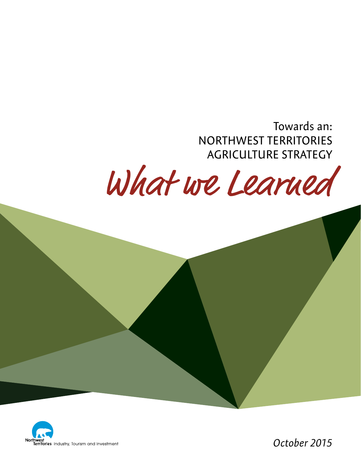Towards an: NORTHWEST TERRITORIES AGRICULTURE STRATEGY

What we Learned



*October 2015*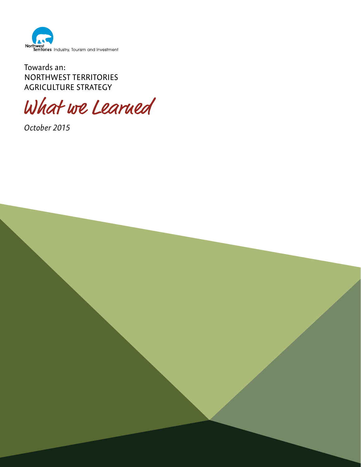

Towards an: NORTHWEST TERRITORIES AGRICULTURE STRATEGY

What we Learned

*October 2015*

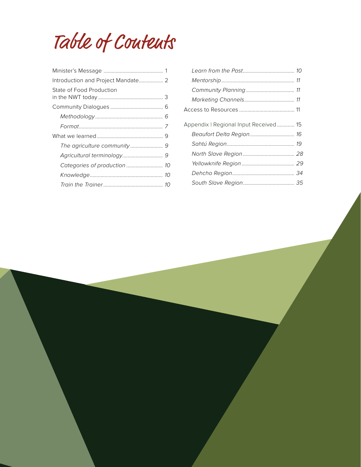Table of Contents

| Introduction and Project Mandate 2 |  |
|------------------------------------|--|
| State of Food Production           |  |
|                                    |  |
|                                    |  |
|                                    |  |
|                                    |  |
|                                    |  |
|                                    |  |
| Categories of production  10       |  |
|                                    |  |
|                                    |  |
|                                    |  |

| Appendix   Regional Input Received  15 |  |
|----------------------------------------|--|
| Beaufort Delta Region 16               |  |
|                                        |  |
|                                        |  |
|                                        |  |
|                                        |  |
|                                        |  |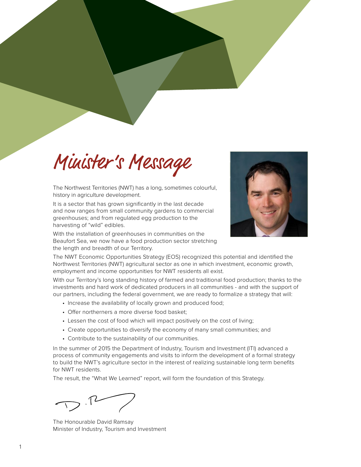# Minister's Message

The Northwest Territories (NWT) has a long, sometimes colourful, history in agriculture development.

It is a sector that has grown significantly in the last decade and now ranges from small community gardens to commercial greenhouses; and from regulated egg production to the harvesting of "wild" edibles.

With the installation of greenhouses in communities on the Beaufort Sea, we now have a food production sector stretching the length and breadth of our Territory.



The NWT Economic Opportunities Strategy (EOS) recognized this potential and identified the Northwest Territories (NWT) agricultural sector as one in which investment, economic growth, employment and income opportunities for NWT residents all exist.

With our Territory's long standing history of farmed and traditional food production; thanks to the investments and hard work of dedicated producers in all communities - and with the support of our partners, including the federal government, we are ready to formalize a strategy that will:

- Increase the availability of locally grown and produced food;
- Offer northerners a more diverse food basket;
- Lessen the cost of food which will impact positively on the cost of living;
- Create opportunities to diversify the economy of many small communities; and
- Contribute to the sustainability of our communities.

In the summer of 2015 the Department of Industry, Tourism and Investment (ITI) advanced a process of community engagements and visits to inform the development of a formal strategy to build the NWT's agriculture sector in the interest of realizing sustainable long term benefits for NWT residents.

The result, the "What We Learned" report, will form the foundation of this Strategy.

 $>5.72$ 

The Honourable David Ramsay Minister of Industry, Tourism and Investment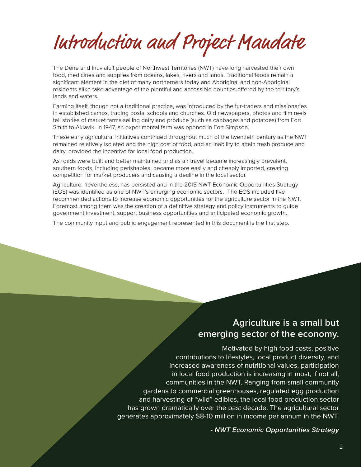Introduction and Project Mandate

The Dene and Inuvialuit people of Northwest Territories (NWT) have long harvested their own food, medicines and supplies from oceans, lakes, rivers and lands. Traditional foods remain a significant element in the diet of many northerners today and Aboriginal and non-Aboriginal residents alike take advantage of the plentiful and accessible bounties offered by the territory's lands and waters.

Farming itself, though not a traditional practice, was introduced by the fur-traders and missionaries in established camps, trading posts, schools and churches. Old newspapers, photos and film reels tell stories of market farms selling dairy and produce (such as cabbages and potatoes) from Fort Smith to Aklavik. In 1947, an experimental farm was opened in Fort Simpson.

These early agricultural initiatives continued throughout much of the twentieth century as the NWT remained relatively isolated and the high cost of food, and an inability to attain fresh produce and dairy, provided the incentive for local food production.

As roads were built and better maintained and as air travel became increasingly prevalent, southern foods, including perishables, became more easily and cheaply imported, creating competition for market producers and causing a decline in the local sector.

Agriculture, nevertheless, has persisted and in the 2013 NWT Economic Opportunities Strategy (EOS) was identified as one of NWT's emerging economic sectors. The EOS included five recommended actions to increase economic opportunities for the agriculture sector in the NWT. Foremost among them was the creation of a definitive strategy and policy instruments to guide government investment, support business opportunities and anticipated economic growth.

The community input and public engagement represented in this document is the first step.

# **Agriculture is a small but emerging sector of the economy.**

Motivated by high food costs, positive contributions to lifestyles, local product diversity, and increased awareness of nutritional values, participation in local food production is increasing in most, if not all, communities in the NWT. Ranging from small community gardens to commercial greenhouses, regulated egg production and harvesting of "wild" edibles, the local food production sector has grown dramatically over the past decade. The agricultural sector generates approximately \$8-10 million in income per annum in the NWT.

**-** *NWT Economic Opportunities Strategy*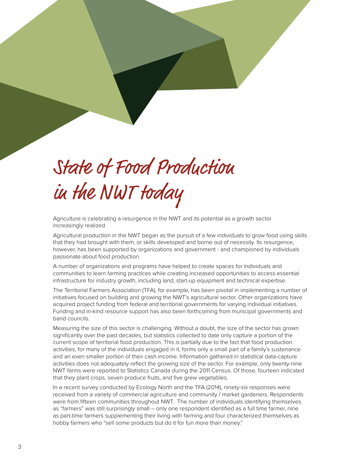# State of Food Production in the NWT today

Agriculture is celebrating a resurgence in the NWT and its potential as a growth sector increasingly realized.

Agricultural production in the NWT began as the pursuit of a few individuals to grow food using skills that they had brought with them, or skills developed and borne out of necessity. Its resurgence, however, has been supported by organizations and government - and championed by individuals passionate about food production.

A number of organizations and programs have helped to create spaces for individuals and communities to learn farming practices while creating increased opportunities to access essential infrastructure for industry growth, including land, start-up equipment and technical expertise.

The Territorial Farmers Association (TFA), for example, has been pivotal in implementing a number of initiatives focused on building and growing the NWT's agricultural sector. Other organizations have acquired project funding from federal and territorial governments for varying individual initiatives. Funding and in-kind resource support has also been forthcoming from municipal governments and band councils.

Measuring the size of this sector is challenging. Without a doubt, the size of the sector has grown significantly over the past decades, but statistics collected to date only capture a portion of the current scope of territorial food production. This is partially due to the fact that food production activities, for many of the individuals engaged in it, forms only a small part of a family's sustenance and an even smaller portion of their cash income. Information gathered in statistical data-capture activities does not adequately reflect the growing size of the sector. For example, only twenty-nine NWT farms were reported to Statistics Canada during the 2011 Census. Of those, fourteen indicated that they plant crops, seven produce fruits, and five grew vegetables.

In a recent survey conducted by Ecology North and the TFA (2014), ninety-six responses were received from a variety of commercial agriculture and community / market gardeners. Respondents were from fifteen communities throughout NWT. The number of individuals identifying themselves as "farmers" was still surprisingly small – only one respondent identified as a full time farmer, nine as part-time farmers supplementing their living with farming and four characterized themselves as hobby farmers who "sell some products but do it for fun more than money."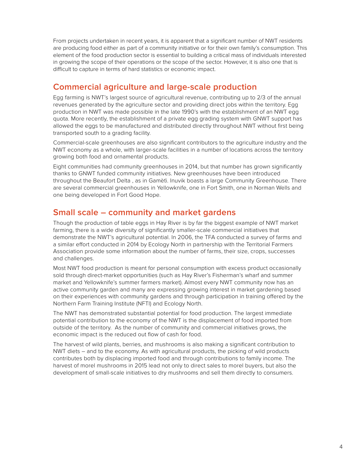From projects undertaken in recent years, it is apparent that a significant number of NWT residents are producing food either as part of a community initiative or for their own family's consumption. This element of the food production sector is essential to building a critical mass of individuals interested in growing the scope of their operations or the scope of the sector. However, it is also one that is difficult to capture in terms of hard statistics or economic impact.

## **Commercial agriculture and large-scale production**

Egg farming is NWT's largest source of agricultural revenue, contributing up to 2/3 of the annual revenues generated by the agriculture sector and providing direct jobs within the territory. Egg production in NWT was made possible in the late 1990's with the establishment of an NWT egg quota. More recently, the establishment of a private egg grading system with GNWT support has allowed the eggs to be manufactured and distributed directly throughout NWT without first being transported south to a grading facility.

Commercial-scale greenhouses are also significant contributors to the agriculture industry and the NWT economy as a whole, with larger-scale facilities in a number of locations across the territory growing both food and ornamental products.

Eight communities had community greenhouses in 2014, but that number has grown significantly thanks to GNWT funded community initiatives. New greenhouses have been introduced throughout the Beaufort Delta , as in Gamètì. Inuvik boasts a large Community Greenhouse. There are several commercial greenhouses in Yellowknife, one in Fort Smith, one in Norman Wells and one being developed in Fort Good Hope.

## **Small scale – community and market gardens**

Though the production of table eggs in Hay River is by far the biggest example of NWT market farming, there is a wide diversity of significantly smaller-scale commercial initiatives that demonstrate the NWT's agricultural potential. In 2006, the TFA conducted a survey of farms and a similar effort conducted in 2014 by Ecology North in partnership with the Territorial Farmers Association provide some information about the number of farms, their size, crops, successes and challenges.

Most NWT food production is meant for personal consumption with excess product occasionally sold through direct-market opportunities (such as Hay River's Fisherman's wharf and summer market and Yellowknife's summer farmers market). Almost every NWT community now has an active community garden and many are expressing growing interest in market gardening based on their experiences with community gardens and through participation in training offered by the Northern Farm Training Institute (NFTI) and Ecology North.

The NWT has demonstrated substantial potential for food production. The largest immediate potential contribution to the economy of the NWT is the displacement of food imported from outside of the territory. As the number of community and commercial initiatives grows, the economic impact is the reduced out flow of cash for food.

The harvest of wild plants, berries, and mushrooms is also making a significant contribution to NWT diets – and to the economy. As with agricultural products, the picking of wild products contributes both by displacing imported food and through contributions to family income. The harvest of morel mushrooms in 2015 lead not only to direct sales to morel buyers, but also the development of small-scale initiatives to dry mushrooms and sell them directly to consumers.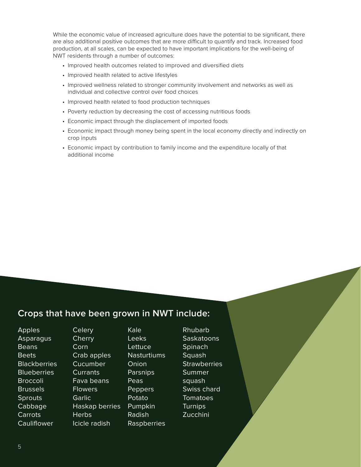While the economic value of increased agriculture does have the potential to be significant, there are also additional positive outcomes that are more difficult to quantify and track. Increased food production, at all scales, can be expected to have important implications for the well-being of NWT residents through a number of outcomes:

- Improved health outcomes related to improved and diversified diets
- Improved health related to active lifestyles
- Improved wellness related to stronger community involvement and networks as well as individual and collective control over food choices
- Improved health related to food production techniques
- Poverty reduction by decreasing the cost of accessing nutritious foods
- Economic impact through the displacement of imported foods
- Economic impact through money being spent in the local economy directly and indirectly on crop inputs
- Economic impact by contribution to family income and the expenditure locally of that additional income

## **Crops that have been grown in NWT include:**

Apples **Asparagus** Beans Beets **Blackberries Blueberries Broccoli** Brussels **Sprouts** Cabbage Carrots **Cauliflower** 

**Cherry** Corn Crab apples Cucumber **Currants** Fava beans Flowers **Garlic** Haskap berries **Herbs** Icicle radish

**Celery** 

Kale Leeks **Lettuce** Nasturtiums **Onion** Parsnips Peas Peppers Potato Pumpkin Radish Raspberries Rhubarb **Saskatoons Spinach** Squash **Strawberries** Summer squash Swiss chard Tomatoes **Turnips** Zucchini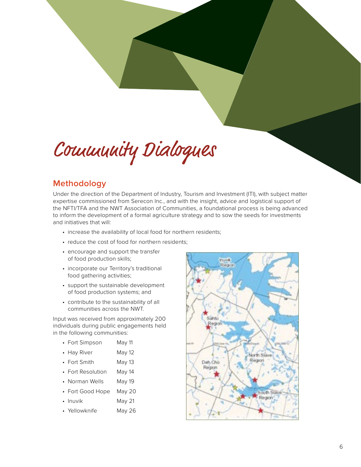Community Dialogues

## **Methodology**

Under the direction of the Department of Industry, Tourism and Investment (ITI), with subject matter expertise commissioned from Serecon Inc., and with the insight, advice and logistical support of the NFTI/TFA and the NWT Association of Communities, a foundational process is being advanced to inform the development of a formal agriculture strategy and to sow the seeds for investments and initiatives that will:

- increase the availability of local food for northern residents;
- reduce the cost of food for northern residents;
- encourage and support the transfer of food production skills;
- incorporate our Territory's traditional food gathering activities;
- support the sustainable development of food production systems; and
- contribute to the sustainability of all communities across the NWT.

Input was received from approximately 200 individuals during public engagements held in the following communities:

- Fort Simpson May 11
- Hay River May 12
- Fort Smith May 13
- Fort Resolution May 14
- Norman Wells May 19
- Fort Good Hope May 20
- Inuvik May 21
- Yellowknife May 26

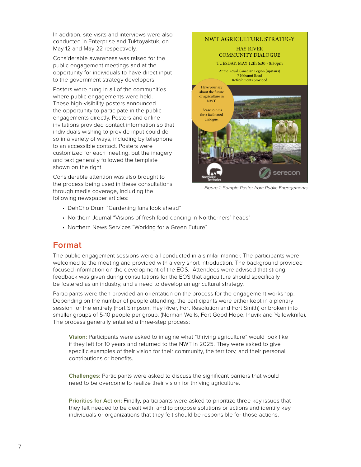In addition, site visits and interviews were also conducted in Enterprise and Tuktoyaktuk, on May 12 and May 22 respectively.

Considerable awareness was raised for the public engagement meetings and at the opportunity for individuals to have direct input to the government strategy developers.

Posters were hung in all of the communities where public engagements were held. These high-visibility posters announced the opportunity to participate in the public engagements directly. Posters and online invitations provided contact information so that individuals wishing to provide input could do so in a variety of ways, including by telephone to an accessible contact. Posters were customized for each meeting, but the imagery and text generally followed the template shown on the right.

Considerable attention was also brought to the process being used in these consultations through media coverage, including the following newspaper articles:



*Figure 1: Sample Poster from Public Engagements*

- DehCho Drum "Gardening fans look ahead"
- Northern Journal "Visions of fresh food dancing in Northerners' heads"
- Northern News Services "Working for a Green Future"

## **Format**

The public engagement sessions were all conducted in a similar manner. The participants were welcomed to the meeting and provided with a very short introduction. The background provided focused information on the development of the EOS. Attendees were advised that strong feedback was given during consultations for the EOS that agriculture should specifically be fostered as an industry, and a need to develop an agricultural strategy.

Participants were then provided an orientation on the process for the engagement workshop. Depending on the number of people attending, the participants were either kept in a plenary session for the entirety (Fort Simpson, Hay River, Fort Resolution and Fort Smith) or broken into smaller groups of 5-10 people per group. (Norman Wells, Fort Good Hope, Inuvik and Yellowknife). The process generally entailed a three-step process:

**Vision:** Participants were asked to imagine what "thriving agriculture" would look like if they left for 10 years and returned to the NWT in 2025. They were asked to give specific examples of their vision for their community, the territory, and their personal contributions or benefits.

**Challenges:** Participants were asked to discuss the significant barriers that would need to be overcome to realize their vision for thriving agriculture.

**Priorities for Action:** Finally, participants were asked to prioritize three key issues that they felt needed to be dealt with, and to propose solutions or actions and identify key individuals or organizations that they felt should be responsible for those actions.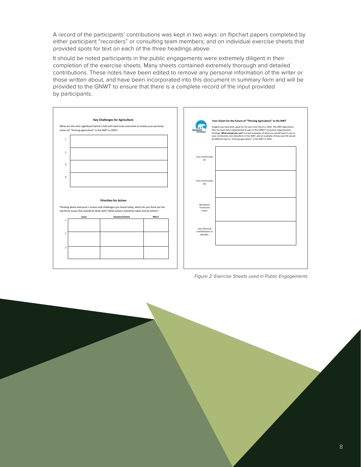A record of the participants' contributions was kept in two ways: on flipchart papers completed by either participant "recorders" or consulting team members; and on individual exercise sheets that provided spots for text on each of the three headings above.

It should be noted participants in the public engagements were extremely diligent in their completion of the exercise sheets. Many sheets contained extremely thorough and detailed contributions. These notes have been edited to remove any personal information of the writer or those written about, and have been incorporated into this document in summary form and will be provided to the GNWT to ensure that there is a complete record of the input provided by participants.



*Figure 2: Exercise Sheets used in Public Engagements*

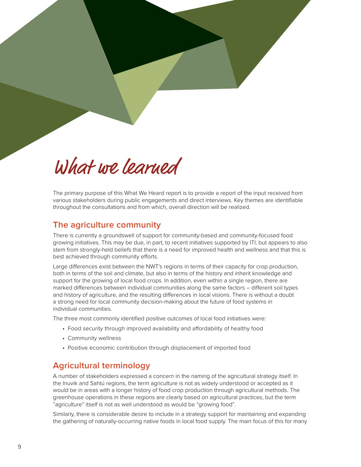# What we learned

The primary purpose of this What We Heard report is to provide a report of the input received from various stakeholders during public engagements and direct interviews. Key themes are identifiable throughout the consultations and from which, overall direction will be realized.

## **The agriculture community**

There is currently a groundswell of support for community-based and community-focused food growing initiatives. This may be due, in part, to recent initiatives supported by ITI, but appears to also stem from strongly-held beliefs that there is a need for improved health and wellness and that this is best achieved through community efforts.

Large differences exist between the NWT's regions in terms of their capacity for crop production, both in terms of the soil and climate, but also in terms of the history and inherit knowledge and support for the growing of local food crops. In addition, even within a single region, there are marked differences between individual communities along the same factors – different soil types and history of agriculture, and the resulting differences in local visions. There is without a doubt a strong need for local community decision-making about the future of food systems in individual communities.

The three most commonly identified positive outcomes of local food initiatives were:

- Food security through improved availability and affordability of healthy food
- Community wellness
- Positive economic contribution through displacement of imported food

## **Agricultural terminology**

A number of stakeholders expressed a concern in the naming of the agricultural strategy itself. In the Inuvik and Sahtú regions, the term agriculture is not as widely understood or accepted as it would be in areas with a longer history of food crop production through agricultural methods. The greenhouse operations in these regions are clearly based on agricultural practices, but the term "agriculture" itself is not as well understood as would be "growing food".

Similarly, there is considerable desire to include in a strategy support for maintaining and expanding the gathering of naturally-occurring native foods in local food supply. The main focus of this for many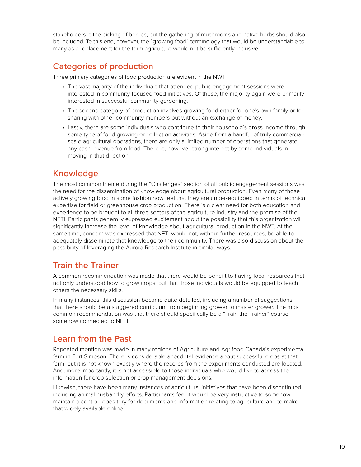stakeholders is the picking of berries, but the gathering of mushrooms and native herbs should also be included. To this end, however, the "growing food" terminology that would be understandable to many as a replacement for the term agriculture would not be sufficiently inclusive.

## **Categories of production**

Three primary categories of food production are evident in the NWT:

- The vast majority of the individuals that attended public engagement sessions were interested in community-focused food initiatives. Of those, the majority again were primarily interested in successful community gardening.
- The second category of production involves growing food either for one's own family or for sharing with other community members but without an exchange of money.
- Lastly, there are some individuals who contribute to their household's gross income through some type of food growing or collection activities. Aside from a handful of truly commercialscale agricultural operations, there are only a limited number of operations that generate any cash revenue from food. There is, however strong interest by some individuals in moving in that direction.

## **Knowledge**

The most common theme during the "Challenges" section of all public engagement sessions was the need for the dissemination of knowledge about agricultural production. Even many of those actively growing food in some fashion now feel that they are under-equipped in terms of technical expertise for field or greenhouse crop production. There is a clear need for both education and experience to be brought to all three sectors of the agriculture industry and the promise of the NFTI. Participants generally expressed excitement about the possibility that this organization will significantly increase the level of knowledge about agricultural production in the NWT. At the same time, concern was expressed that NFTI would not, without further resources, be able to adequately disseminate that knowledge to their community. There was also discussion about the possibility of leveraging the Aurora Research Institute in similar ways.

# **Train the Trainer**

A common recommendation was made that there would be benefit to having local resources that not only understood how to grow crops, but that those individuals would be equipped to teach others the necessary skills.

In many instances, this discussion became quite detailed, including a number of suggestions that there should be a staggered curriculum from beginning grower to master grower. The most common recommendation was that there should specifically be a "Train the Trainer" course somehow connected to NFTI.

## **Learn from the Past**

Repeated mention was made in many regions of Agriculture and Agrifood Canada's experimental farm in Fort Simpson. There is considerable anecdotal evidence about successful crops at that farm, but it is not known exactly where the records from the experiments conducted are located. And, more importantly, it is not accessible to those individuals who would like to access the information for crop selection or crop management decisions.

Likewise, there have been many instances of agricultural initiatives that have been discontinued, including animal husbandry efforts. Participants feel it would be very instructive to somehow maintain a central repository for documents and information relating to agriculture and to make that widely available online.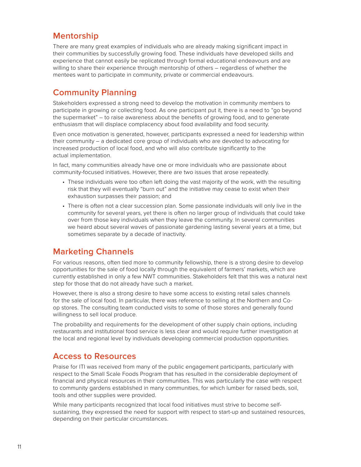# **Mentorship**

There are many great examples of individuals who are already making significant impact in their communities by successfully growing food. These individuals have developed skills and experience that cannot easily be replicated through formal educational endeavours and are willing to share their experience through mentorship of others – regardless of whether the mentees want to participate in community, private or commercial endeavours.

## **Community Planning**

Stakeholders expressed a strong need to develop the motivation in community members to participate in growing or collecting food. As one participant put it, there is a need to "go beyond the supermarket" – to raise awareness about the benefits of growing food, and to generate enthusiasm that will displace complacency about food availability and food security.

Even once motivation is generated, however, participants expressed a need for leadership within their community – a dedicated core group of individuals who are devoted to advocating for increased production of local food, and who will also contribute significantly to the actual implementation.

In fact, many communities already have one or more individuals who are passionate about community-focused initiatives. However, there are two issues that arose repeatedly.

- These individuals were too often left doing the vast majority of the work, with the resulting risk that they will eventually "burn out" and the initiative may cease to exist when their exhaustion surpasses their passion; and
- There is often not a clear succession plan. Some passionate individuals will only live in the community for several years, yet there is often no larger group of individuals that could take over from those key individuals when they leave the community. In several communities we heard about several waves of passionate gardening lasting several years at a time, but sometimes separate by a decade of inactivity.

# **Marketing Channels**

For various reasons, often tied more to community fellowship, there is a strong desire to develop opportunities for the sale of food locally through the equivalent of farmers' markets, which are currently established in only a few NWT communities. Stakeholders felt that this was a natural next step for those that do not already have such a market.

However, there is also a strong desire to have some access to existing retail sales channels for the sale of local food. In particular, there was reference to selling at the Northern and Coop stores. The consulting team conducted visits to some of those stores and generally found willingness to sell local produce.

The probability and requirements for the development of other supply chain options, including restaurants and institutional food service is less clear and would require further investigation at the local and regional level by individuals developing commercial production opportunities.

## **Access to Resources**

Praise for ITI was received from many of the public engagement participants, particularly with respect to the Small Scale Foods Program that has resulted in the considerable deployment of financial and physical resources in their communities. This was particularly the case with respect to community gardens established in many communities, for which lumber for raised beds, soil, tools and other supplies were provided.

While many participants recognized that local food initiatives must strive to become selfsustaining, they expressed the need for support with respect to start-up and sustained resources, depending on their particular circumstances.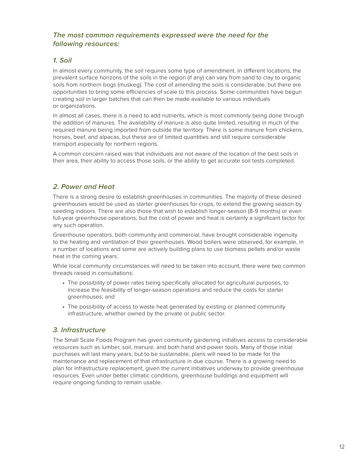## *The most common requirements expressed were the need for the following resources:*

## *1. Soil*

In almost every community, the soil requires some type of amendment. In different locations, the prevalent surface horizons of the soils in the region (if any) can vary from sand to clay to organic soils from northern bogs (muskeg). The cost of amending the soils is considerable, but there are opportunities to bring some efficiencies of scale to this process. Some communities have begun creating soil in larger batches that can then be made available to various individuals or organizations.

In almost all cases, there is a need to add nutrients, which is most commonly being done through the addition of manures. The availability of manure is also quite limited, resulting in much of the required manure being imported from outside the territory. There is some manure from chickens, horses, beef, and alpacas, but these are of limited quantities and still require considerable transport especially for northern regions.

A common concern raised was that individuals are not aware of the location of the best soils in their area, their ability to access those soils, or the ability to get accurate soil tests completed.

## *2. Power and Heat*

There is a strong desire to establish greenhouses in communities. The majority of these desired greenhouses would be used as starter greenhouses for crops, to extend the growing season by seeding indoors. There are also those that wish to establish longer-season (8-9 months) or even full-year greenhouse operations, but the cost of power and heat is certainly a significant factor for any such operation.

Greenhouse operators, both community and commercial, have brought considerable ingenuity to the heating and ventilation of their greenhouses. Wood boilers were observed, for example, in a number of locations and some are actively building plans to use biomass pellets and/or waste heat in the coming years.

While local community circumstances will need to be taken into account, there were two common threads raised in consultations:

- The possibility of power rates being specifically allocated for agricultural purposes, to increase the feasibility of longer-season operations and reduce the costs for starter greenhouses; and
- The possibility of access to waste heat generated by existing or planned community infrastructure, whether owned by the private or public sector.

## *3. Infrastructure*

The Small Scale Foods Program has given community gardening initiatives access to considerable resources such as lumber, soil, manure, and both hand and power tools. Many of those initial purchases will last many years, but to be sustainable, plans will need to be made for the maintenance and replacement of that infrastructure in due course. There is a growing need to plan for infrastructure replacement, given the current initiatives underway to provide greenhouse resources. Even under better climatic conditions, greenhouse buildings and equipment will require ongoing funding to remain usable.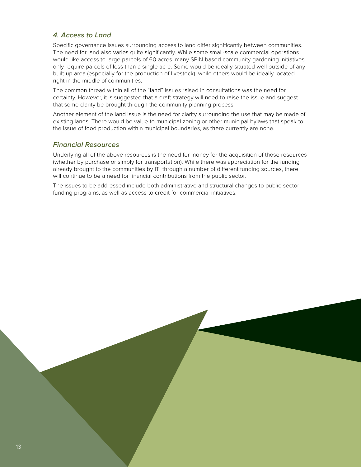## *4. Access to Land*

Specific governance issues surrounding access to land differ significantly between communities. The need for land also varies quite significantly. While some small-scale commercial operations would like access to large parcels of 60 acres, many SPIN-based community gardening initiatives only require parcels of less than a single acre. Some would be ideally situated well outside of any built-up area (especially for the production of livestock), while others would be ideally located right in the middle of communities.

The common thread within all of the "land" issues raised in consultations was the need for certainty. However, it is suggested that a draft strategy will need to raise the issue and suggest that some clarity be brought through the community planning process.

Another element of the land issue is the need for clarity surrounding the use that may be made of existing lands. There would be value to municipal zoning or other municipal bylaws that speak to the issue of food production within municipal boundaries, as there currently are none.

#### *Financial Resources*

Underlying all of the above resources is the need for money for the acquisition of those resources (whether by purchase or simply for transportation). While there was appreciation for the funding already brought to the communities by ITI through a number of different funding sources, there will continue to be a need for financial contributions from the public sector.

The issues to be addressed include both administrative and structural changes to public-sector funding programs, as well as access to credit for commercial initiatives.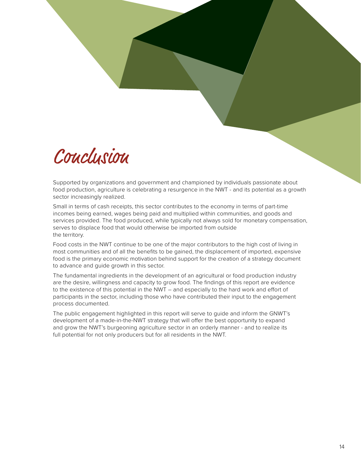

Supported by organizations and government and championed by individuals passionate about food production, agriculture is celebrating a resurgence in the NWT - and its potential as a growth sector increasingly realized.

Small in terms of cash receipts, this sector contributes to the economy in terms of part-time incomes being earned, wages being paid and multiplied within communities, and goods and services provided. The food produced, while typically not always sold for monetary compensation, serves to displace food that would otherwise be imported from outside the territory.

Food costs in the NWT continue to be one of the major contributors to the high cost of living in most communities and of all the benefits to be gained, the displacement of imported, expensive food is the primary economic motivation behind support for the creation of a strategy document to advance and guide growth in this sector.

The fundamental ingredients in the development of an agricultural or food production industry are the desire, willingness and capacity to grow food. The findings of this report are evidence to the existence of this potential in the NWT – and especially to the hard work and effort of participants in the sector, including those who have contributed their input to the engagement process documented.

The public engagement highlighted in this report will serve to guide and inform the GNWT's development of a made-in-the-NWT strategy that will offer the best opportunity to expand and grow the NWT's burgeoning agriculture sector in an orderly manner - and to realize its full potential for not only producers but for all residents in the NWT.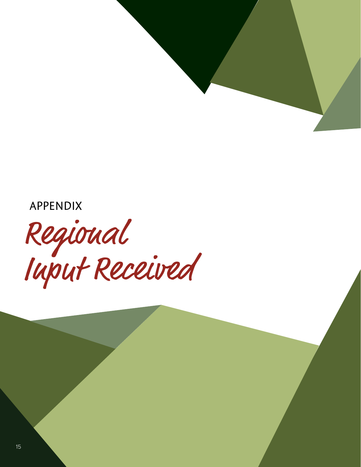APPENDIX

Regional Input Received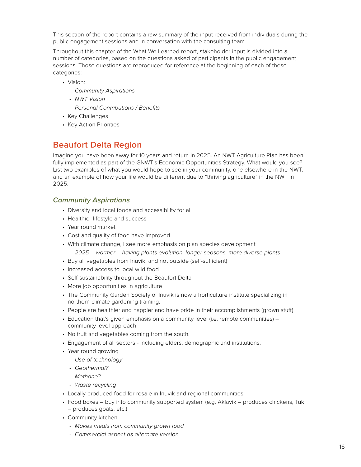This section of the report contains a raw summary of the input received from individuals during the public engagement sessions and in conversation with the consulting team.

Throughout this chapter of the What We Learned report, stakeholder input is divided into a number of categories, based on the questions asked of participants in the public engagement sessions. Those questions are reproduced for reference at the beginning of each of these categories:

- Vision:
	- *- Community Aspirations*
	- *- NWT Vision*
	- *- Personal Contributions / Benefits*
- Key Challenges
- Key Action Priorities

# **Beaufort Delta Region**

Imagine you have been away for 10 years and return in 2025. An NWT Agriculture Plan has been fully implemented as part of the GNWT's Economic Opportunities Strategy. What would you see? List two examples of what you would hope to see in your community, one elsewhere in the NWT, and an example of how your life would be different due to "thriving agriculture" in the NWT in 2025.

## *Community Aspirations*

- Diversity and local foods and accessibility for all
- Healthier lifestyle and success
- Year round market
- Cost and quality of food have improved
- With climate change, I see more emphasis on plan species development
	- *- 2025 warmer having plants evolution, longer seasons, more diverse plants*
- Buy all vegetables from Inuvik, and not outside (self-sufficient)
- Increased access to local wild food
- Self-sustainability throughout the Beaufort Delta
- More job opportunities in agriculture
- The Community Garden Society of Inuvik is now a horticulture institute specializing in northern climate gardening training.
- People are healthier and happier and have pride in their accomplishments (grown stuff)
- Education that's given emphasis on a community level (i.e. remote communities) community level approach
- No fruit and vegetables coming from the south.
- Engagement of all sectors including elders, demographic and institutions.
- Year round growing
	- *- Use of technology*
	- *- Geothermal?*
	- *- Methane?*
	- *- Waste recycling*
- Locally produced food for resale in Inuvik and regional communities.
- Food boxes buy into community supported system (e.g. Aklavik produces chickens, Tuk – produces goats, etc.)
- Community kitchen
	- *- Makes meals from community grown food*
	- *- Commercial aspect as alternate version*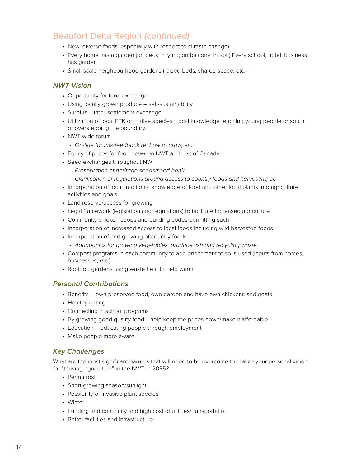# **Beaufort Delta Region** *(continued)*

- New, diverse foods (especially with respect to climate change)
- Every home has a garden (on deck; in yard; on balcony; in apt.) Every school, hotel, business has garden
- Small scale neighbourhood gardens (raised beds, shared space, etc.)

## *NWT Vision*

- Opportunity for food exchange
- Using locally grown produce self-sustainability
- Surplus inter-settlement exchange
- Utilization of local ETK on native species. Local knowledge teaching young people or south or overstepping the boundary.
- NWT wide forum
	- *- On-line forums/feedback re: how to grow, etc.*
- Equity of prices for food between NWT and rest of Canada.
- Seed exchanges throughout NWT
	- *- Preservation of heritage seeds/seed bank*
	- *- Clarification of regulations around access to country foods and harvesting of.*
- Incorporation of local traditional knowledge of food and other local plants into agriculture activities and goals
- Land reserve/access for growing
- Legal framework (legislation and regulations) to facilitate increased agriculture
- Community chicken coops and building codes permitting such
- Incorporation of increased access to local foods including wild harvested foods
- Incorporation of and growing of country foods
	- *- Aquaponics for growing vegetables, produce fish and recycling waste.*
- Compost programs in each community to add enrichment to soils used (inputs from homes, businesses, etc.)
- Roof top gardens using waste heat to help warm

## *Personal Contributions*

- Benefits own preserved food, own garden and have own chickens and goats
- Healthy eating
- Connecting in school programs
- By growing good quality food, I help keep the prices down/make it affordable
- Education educating people through employment
- Make people more aware.

## *Key Challenges*

What are the most significant barriers that will need to be overcome to realize your personal vision for "thriving agriculture" in the NWT in 2035?

- Permafrost
- Short growing season/sunlight
- Possibility of invasive plant species
- Winter
- Funding and continuity and high cost of utilities/transportation
- Better facilities and infrastructure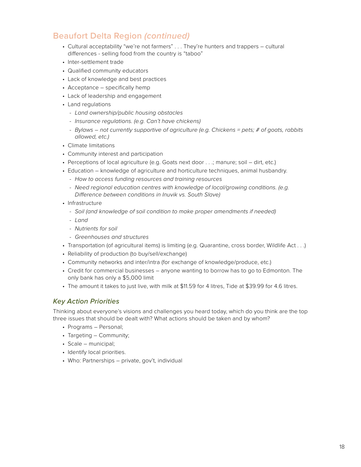# **Beaufort Delta Region** *(continued)*

- Cultural acceptability "we're not farmers" . . . They're hunters and trappers cultural differences - selling food from the country is "taboo"
- Inter-settlement trade
- Qualified community educators
- Lack of knowledge and best practices
- Acceptance specifically hemp
- Lack of leadership and engagement
- Land regulations
	- *- Land ownership/public housing obstacles*
	- *- Insurance regulations. (e.g. Can't have chickens)*
	- *- Bylaws not currently supportive of agriculture (e.g. Chickens = pets; # of goats, rabbits allowed, etc.)*
- Climate limitations
- Community interest and participation
- Perceptions of local agriculture (e.g. Goats next door . . .; manure; soil dirt, etc.)
- Education knowledge of agriculture and horticulture techniques, animal husbandry.
	- *- How to access funding resources and training resources*
	- *- Need regional education centres with knowledge of local/growing conditions. (e.g. Difference between conditions in Inuvik vs. South Slave)*
- Infrastructure
	- *- Soil (and knowledge of soil condition to make proper amendments if needed)*
	- *- Land*
	- *- Nutrients for soil*
	- *- Greenhouses and structures*
- Transportation (of agricultural items) is limiting (e.g. Quarantine, cross border, Wildlife Act . . .)
- Reliability of production (to buy/sell/exchange)
- Community networks and inter/intra (for exchange of knowledge/produce, etc.)
- Credit for commercial businesses anyone wanting to borrow has to go to Edmonton. The only bank has only a \$5,000 limit
- The amount it takes to just live, with milk at \$11.59 for 4 litres, Tide at \$39.99 for 4.6 litres.

## *Key Action Priorities*

Thinking about everyone's visions and challenges you heard today, which do you think are the top three issues that should be dealt with? What actions should be taken and by whom?

- Programs Personal;
- Targeting Community;
- Scale municipal;
- Identify local priorities.
- Who: Partnerships private, gov't, individual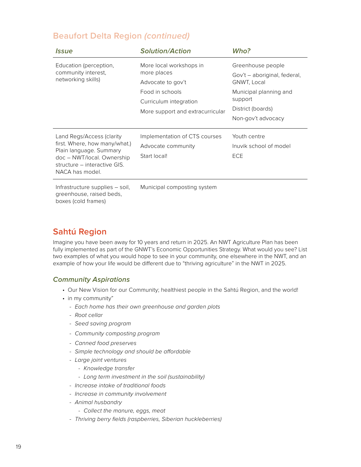# **Beaufort Delta Region** *(continued)*

| <i><u><b>Issue</b></u></i>                                                                                                                                             | <b>Solution/Action</b>                                                                                                                       | Who?                                                                                                                                             |
|------------------------------------------------------------------------------------------------------------------------------------------------------------------------|----------------------------------------------------------------------------------------------------------------------------------------------|--------------------------------------------------------------------------------------------------------------------------------------------------|
| Education (perception,<br>community interest,<br>networking skills)                                                                                                    | More local workshops in<br>more places<br>Advocate to gov't<br>Food in schools<br>Curriculum integration<br>More support and extracurricular | Greenhouse people<br>Gov't – aboriginal, federal,<br>GNWT, Local<br>Municipal planning and<br>support<br>District (boards)<br>Non-gov't advocacy |
| Land Regs/Access (clarity<br>first. Where, how many/what.)<br>Plain language. Summary<br>doc - NWT/local. Ownership<br>structure – interactive GIS.<br>NACA has model. | Implementation of CTS courses<br>Advocate community<br>Start local!                                                                          | Youth centre<br>Inuvik school of model<br>ECE                                                                                                    |
| Infrastructure supplies – soil,                                                                                                                                        | Municipal composting system                                                                                                                  |                                                                                                                                                  |

greenhouse, raised beds, boxes (cold frames)

# **Sahtú Region**

Imagine you have been away for 10 years and return in 2025. An NWT Agriculture Plan has been fully implemented as part of the GNWT's Economic Opportunities Strategy. What would you see? List two examples of what you would hope to see in your community, one elsewhere in the NWT, and an example of how your life would be different due to "thriving agriculture" in the NWT in 2025.

## *Community Aspirations*

- Our New Vision for our Community; healthiest people in the Sahtú Region, and the world!
- in my community"
	- *- Each home has their own greenhouse and garden plots*
	- *- Root cellar*
	- *- Seed saving program*
	- *- Community composting program*
	- *- Canned food preserves*
	- *- Simple technology and should be affordable*
	- *- Large joint ventures*
		- *- Knowledge transfer*
		- *- Long term investment in the soil (sustainability)*
	- *- Increase intake of traditional foods*
	- *- Increase in community involvement*
	- *- Animal husbandry*
		- *- Collect the manure, eggs, meat*
	- *- Thriving berry fields (raspberries, Siberian huckleberries)*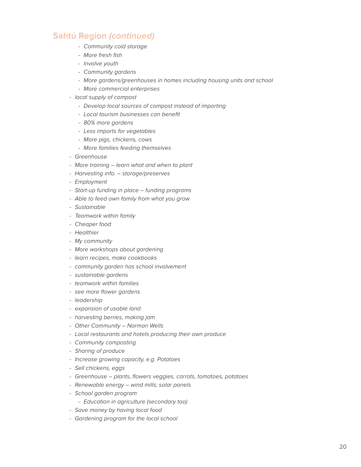- *- Community cold storage*
- *- More fresh fish*
- *- Involve youth*
- *- Community gardens*
- *- More gardens/greenhouses in homes including housing units and school*
- *- More commercial enterprises*
- *- local supply of compost*
	- *- Develop local sources of compost instead of importing*
	- *- Local tourism businesses can benefit*
	- *- 80% more gardens*
	- *- Less imports for vegetables*
	- *- More pigs, chickens, cows*
	- *- More families feeding themselves*
- *- Greenhouse*
- *- More training learn what and when to plant*
- *- Harvesting info. storage/preserves*
- *- Employment*
- *- Start-up funding in place funding programs*
- *- Able to feed own family from what you grow*
- *- Sustainable*
- *- Teamwork within family*
- *- Cheaper food*
- *- Healthier*
- *- My community*
- *- More workshops about gardening*
- *- learn recipes, make cookbooks*
- *- community garden has school involvement*
- *- sustainable gardens*
- *- teamwork within families*
- *- see more flower gardens*
- *- leadership*
- *- expansion of usable land*
- *- harvesting berries, making jam*
- *- Other Community Norman Wells*
- *- Local restaurants and hotels producing their own produce*
- *- Community composting*
- *- Sharing of produce*
- *- Increase growing capacity, e.g. Potatoes*
- *- Sell chickens, eggs*
- *- Greenhouse plants, flowers veggies, carrots, tomatoes, potatoes*
- *- Renewable energy wind mills; solar panels*
- *- School garden program*
	- *- Education in agriculture (secondary too)*
- *- Save money by having local food*
- *- Gardening program for the local school*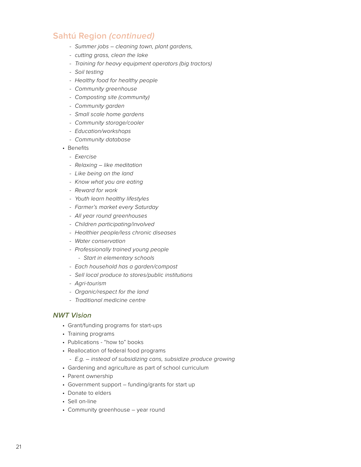- *- Summer jobs cleaning town, plant gardens,*
- *- cutting grass, clean the lake*
- *- Training for heavy equipment operators (big tractors)*
- *- Soil testing*
- *- Healthy food for healthy people*
- *- Community greenhouse*
- *- Composting site (community)*
- *- Community garden*
- *- Small scale home gardens*
- *- Community storage/cooler*
- *- Education/workshops*
- *- Community database*
- Benefits
	- *- Exercise*
	- *- Relaxing like meditation*
	- *- Like being on the land*
	- *- Know what you are eating*
	- *- Reward for work*
	- *- Youth learn healthy lifestyles*
	- *- Farmer's market every Saturday*
	- *- All year round greenhouses*
	- *- Children participating/involved*
	- *- Healthier people/less chronic diseases*
	- *- Water conservation*
	- *- Professionally trained young people*
		- *- Start in elementary schools*
	- *- Each household has a garden/compost*
	- *- Sell local produce to stores/public institutions*
	- *- Agri-tourism*
	- *- Organic/respect for the land*
	- *- Traditional medicine centre*

## *NWT Vision*

- Grant/funding programs for start-ups
- Training programs
- Publications "how to" books
- Reallocation of federal food programs
	- *- E.g. instead of subsidizing cans, subsidize produce growing*
- Gardening and agriculture as part of school curriculum
- Parent ownership
- Government support funding/grants for start up
- Donate to elders
- Sell on-line
- Community greenhouse year round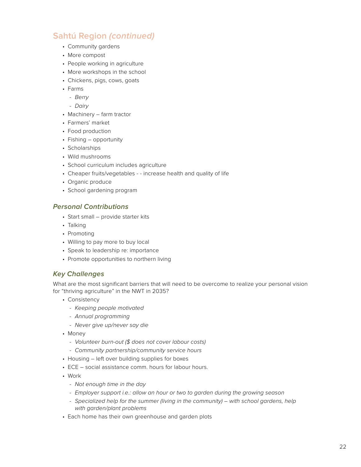- Community gardens
- More compost
- People working in agriculture
- More workshops in the school
- Chickens, pigs, cows, goats
- Farms
	- *- Berry*
	- *- Dairy*
- Machinery farm tractor
- Farmers' market
- Food production
- Fishing opportunity
- Scholarships
- Wild mushrooms
- School curriculum includes agriculture
- Cheaper fruits/vegetables - increase health and quality of life
- Organic produce
- School gardening program

## *Personal Contributions*

- Start small provide starter kits
- Talking
- Promoting
- Willing to pay more to buy local
- Speak to leadership re: importance
- Promote opportunities to northern living

## *Key Challenges*

What are the most significant barriers that will need to be overcome to realize your personal vision for "thriving agriculture" in the NWT in 2035?

- Consistency
	- *- Keeping people motivated*
	- *- Annual programming*
	- *- Never give up/never say die*
- Money
	- *- Volunteer burn-out (\$ does not cover labour costs)*
	- *- Community partnership/community service hours*
- Housing left over building supplies for boxes
- ECE social assistance comm. hours for labour hours.
- Work
	- *- Not enough time in the day*
	- *- Employer support i.e.: allow an hour or two to garden during the growing season*
	- *-* Specialized help for the summer (living in the community) with school gardens, help *with garden/plant problems*
- Each home has their own greenhouse and garden plots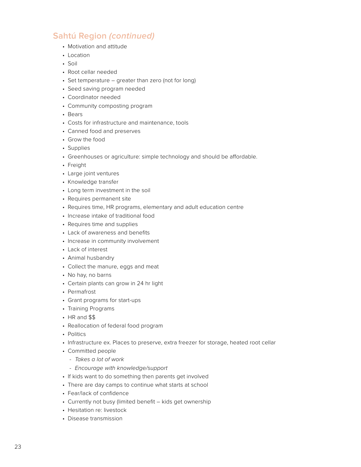- Motivation and attitude
- Location
- Soil
- Root cellar needed
- Set temperature greater than zero (not for long)
- Seed saving program needed
- Coordinator needed
- Community composting program
- Bears
- Costs for infrastructure and maintenance, tools
- Canned food and preserves
- Grow the food
- Supplies
- Greenhouses or agriculture: simple technology and should be affordable.
- Freight
- Large joint ventures
- Knowledge transfer
- Long term investment in the soil
- Requires permanent site
- Requires time, HR programs, elementary and adult education centre
- Increase intake of traditional food
- Requires time and supplies
- Lack of awareness and benefits
- Increase in community involvement
- Lack of interest
- Animal husbandry
- Collect the manure, eggs and meat
- No hay, no barns
- Certain plants can grow in 24 hr light
- Permafrost
- Grant programs for start-ups
- Training Programs
- HR and \$\$
- Reallocation of federal food program
- Politics
- Infrastructure ex. Places to preserve, extra freezer for storage, heated root cellar
- Committed people
	- *- Takes a lot of work*
	- *- Encourage with knowledge/support*
- If kids want to do something then parents get involved
- There are day camps to continue what starts at school
- Fear/lack of confidence
- Currently not busy (limited benefit kids get ownership
- Hesitation re: livestock
- Disease transmission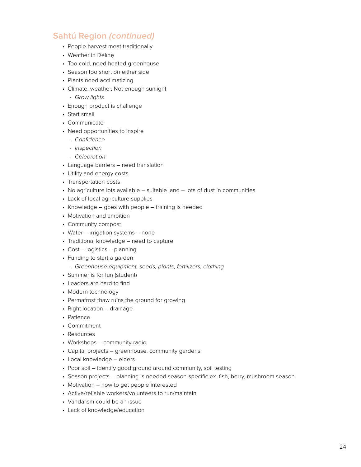- People harvest meat traditionally
- Weather in Délınę
- Too cold, need heated greenhouse
- Season too short on either side
- Plants need acclimatizing
- Climate, weather, Not enough sunlight
- *- Grow lights*
- Enough product is challenge
- Start small
- Communicate
- Need opportunities to inspire
	- *- Confidence*
	- *- Inspection*
	- *- Celebration*
- Language barriers need translation
- Utility and energy costs
- Transportation costs
- No agriculture lots available suitable land lots of dust in communities
- Lack of local agriculture supplies
- Knowledge goes with people training is needed
- Motivation and ambition
- Community compost
- Water irrigation systems none
- Traditional knowledge need to capture
- Cost logistics planning
- Funding to start a garden
	- *- Greenhouse equipment, seeds, plants, fertilizers, clothing*
- Summer is for fun (student)
- Leaders are hard to find
- Modern technology
- Permafrost thaw ruins the ground for growing
- Right location drainage
- Patience
- Commitment
- Resources
- Workshops community radio
- Capital projects greenhouse, community gardens
- Local knowledge elders
- Poor soil identify good ground around community, soil testing
- Season projects planning is needed season-specific ex. fish, berry, mushroom season
- Motivation how to get people interested
- Active/reliable workers/volunteers to run/maintain
- Vandalism could be an issue
- Lack of knowledge/education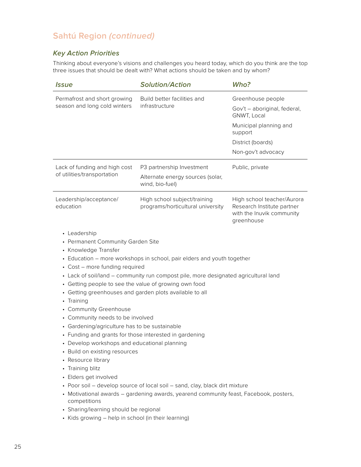## *Key Action Priorities*

Thinking about everyone's visions and challenges you heard today, which do you think are the top three issues that should be dealt with? What actions should be taken and by whom?

| Permafrost and short growing                                 |                                                                                     | Who?                                                                                                |
|--------------------------------------------------------------|-------------------------------------------------------------------------------------|-----------------------------------------------------------------------------------------------------|
|                                                              | Build better facilities and                                                         | Greenhouse people                                                                                   |
| season and long cold winters                                 | infrastructure                                                                      | Gov't - aboriginal, federal,<br>GNWT, Local                                                         |
|                                                              |                                                                                     | Municipal planning and<br>support                                                                   |
|                                                              |                                                                                     | District (boards)                                                                                   |
|                                                              |                                                                                     | Non-gov't advocacy                                                                                  |
| Lack of funding and high cost<br>of utilities/transportation | P3 partnership Investment                                                           | Public, private                                                                                     |
|                                                              | Alternate energy sources (solar,<br>wind, bio-fuel)                                 |                                                                                                     |
| Leadership/acceptance/<br>education                          | High school subject/training<br>programs/horticultural university                   | High school teacher/Aurora<br>Research Institute partner<br>with the Inuvik community<br>greenhouse |
| • Cost - more funding required                               | • Lack of soil/land - community run compost pile, more designated agricultural land |                                                                                                     |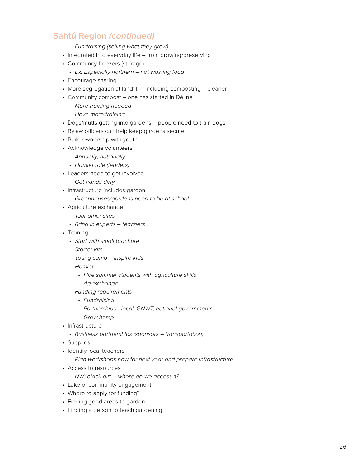- *- Fundraising (selling what they grow)*
- Integrated into everyday life from growing/preserving
- Community freezers (storage)
	- *- Ex. Especially northern not wasting food*
- Encourage sharing
- More segregation at landfill including composting cleaner
- Community compost one has started in Délınę
	- *- More training needed*
	- *- Have more training*
- Dogs/mutts getting into gardens people need to train dogs
- Bylaw officers can help keep gardens secure
- Build ownership with youth
- Acknowledge volunteers
	- *- Annually, nationally*
	- *- Hamlet role (leaders)*
- Leaders need to get involved
	- *- Get hands dirty*
- Infrastructure includes garden
	- *- Greenhouses/gardens need to be at school*
- Agriculture exchange
	- *- Tour other sites*
	- *- Bring in experts teachers*
- Training
	- *- Start with small brochure*
	- *- Starter kits*
	- *- Young camp inspire kids*
	- *- Hamlet* 
		- *- Hire summer students with agriculture skills*
		- *- Ag exchange*
	- *- Funding requirements*
		- *- Fundraising*
		- *- Partnerships local, GNWT, national governments*
		- *- Grow hemp*
- Infrastructure
	- *- Business partnerships (sponsors transportation)*
- Supplies
- Identify local teachers
	- *- Plan workshops now for next year and prepare infrastructure*
- Access to resources
	- *- NW: black dirt where do we access it?*
- Lake of community engagement
- Where to apply for funding?
- Finding good areas to garden
- Finding a person to teach gardening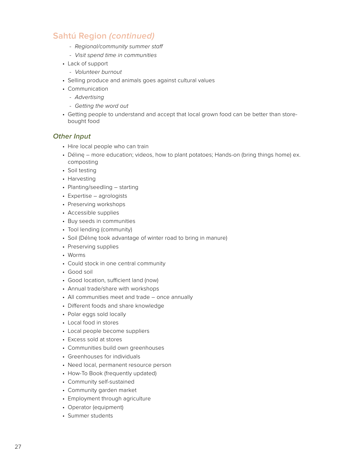- *- Regional/community summer staff*
- *- Visit spend time in communities*
- Lack of support
	- *- Volunteer burnout*
- Selling produce and animals goes against cultural values
- Communication
	- *- Advertising*
	- *- Getting the word out*
- Getting people to understand and accept that local grown food can be better than storebought food

## *Other Input*

- Hire local people who can train
- Délınę more education; videos, how to plant potatoes; Hands-on (bring things home) ex. composting
- Soil testing
- Harvesting
- Planting/seedling starting
- Expertise agrologists
- Preserving workshops
- Accessible supplies
- Buy seeds in communities
- Tool lending (community)
- Soil (Délınę took advantage of winter road to bring in manure)
- Preserving supplies
- Worms
- Could stock in one central community
- Good soil
- Good location, sufficient land (now)
- Annual trade/share with workshops
- All communities meet and trade once annually
- Different foods and share knowledge
- Polar eggs sold locally
- Local food in stores
- Local people become suppliers
- Excess sold at stores
- Communities build own greenhouses
- Greenhouses for individuals
- Need local, permanent resource person
- How-To Book (frequently updated)
- Community self-sustained
- Community garden market
- Employment through agriculture
- Operator (equipment)
- Summer students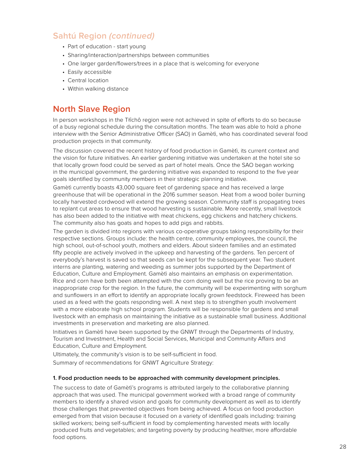- Part of education start young
- Sharing/interaction/partnerships between communities
- One larger garden/flowers/trees in a place that is welcoming for everyone
- Easily accessible
- Central location
- Within walking distance

## **North Slave Region**

In person workshops in the Tłîchô region were not achieved in spite of efforts to do so because of a busy regional schedule during the consultation months. The team was able to hold a phone interview with the Senior Administrative Officer (SAO) in Gamètì, who has coordinated several food production projects in that community.

The discussion covered the recent history of food production in Gamètì, its current context and the vision for future initiatives. An earlier gardening initiative was undertaken at the hotel site so that locally grown food could be served as part of hotel meals. Once the SAO began working in the municipal government, the gardening initiative was expanded to respond to the five year goals identified by community members in their strategic planning initiative.

Gamètì currently boasts 43,000 square feet of gardening space and has received a large greenhouse that will be operational in the 2016 summer season. Heat from a wood boiler burning locally harvested cordwood will extend the growing season. Community staff is propagating trees to replant cut areas to ensure that wood harvesting is sustainable. More recently, small livestock has also been added to the initiative with meat chickens, egg chickens and hatchery chickens. The community also has goats and hopes to add pigs and rabbits.

The garden is divided into regions with various co-operative groups taking responsibility for their respective sections. Groups include: the health centre, community employees, the council, the high school, out-of-school youth, mothers and elders. About sixteen families and an estimated fifty people are actively involved in the upkeep and harvesting of the gardens. Ten percent of everybody's harvest is saved so that seeds can be kept for the subsequent year. Two student interns are planting, watering and weeding as summer jobs supported by the Department of Education, Culture and Employment. Gamètì also maintains an emphasis on experimentation. Rice and corn have both been attempted with the corn doing well but the rice proving to be an inappropriate crop for the region. In the future, the community will be experimenting with sorghum and sunflowers in an effort to identify an appropriate locally grown feedstock. Fireweed has been used as a feed with the goats responding well. A next step is to strengthen youth involvement with a more elaborate high school program. Students will be responsible for gardens and small livestock with an emphasis on maintaining the initiative as a sustainable small business. Additional investments in preservation and marketing are also planned.

Initiatives in Gamètì have been supported by the GNWT through the Departments of Industry, Tourism and Investment, Health and Social Services, Municipal and Community Affairs and Education, Culture and Employment.

Ultimately, the community's vision is to be self-sufficient in food.

Summary of recommendations for GNWT Agriculture Strategy:

#### **1. Food production needs to be approached with community development principles.**

The success to date of Gamètì's programs is attributed largely to the collaborative planning approach that was used. The municipal government worked with a broad range of community members to identify a shared vision and goals for community development as well as to identify those challenges that prevented objectives from being achieved. A focus on food production emerged from that vision because it focused on a variety of identified goals including: training skilled workers; being self-sufficient in food by complementing harvested meats with locally produced fruits and vegetables; and targeting poverty by producing healthier, more affordable food options.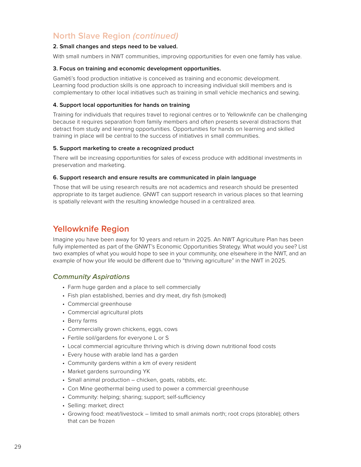# **North Slave Region** *(continued)*

#### **2. Small changes and steps need to be valued.**

With small numbers in NWT communities, improving opportunities for even one family has value.

#### **3. Focus on training and economic development opportunities.**

Gamètì's food production initiative is conceived as training and economic development. Learning food production skills is one approach to increasing individual skill members and is complementary to other local initiatives such as training in small vehicle mechanics and sewing.

#### **4. Support local opportunities for hands on training**

Training for individuals that requires travel to regional centres or to Yellowknife can be challenging because it requires separation from family members and often presents several distractions that detract from study and learning opportunities. Opportunities for hands on learning and skilled training in place will be central to the success of initiatives in small communities.

#### **5. Support marketing to create a recognized product**

There will be increasing opportunities for sales of excess produce with additional investments in preservation and marketing.

#### **6. Support research and ensure results are communicated in plain language**

Those that will be using research results are not academics and research should be presented appropriate to its target audience. GNWT can support research in various places so that learning is spatially relevant with the resulting knowledge housed in a centralized area.

## **Yellowknife Region**

Imagine you have been away for 10 years and return in 2025. An NWT Agriculture Plan has been fully implemented as part of the GNWT's Economic Opportunities Strategy. What would you see? List two examples of what you would hope to see in your community, one elsewhere in the NWT, and an example of how your life would be different due to "thriving agriculture" in the NWT in 2025.

#### *Community Aspirations*

- Farm huge garden and a place to sell commercially
- Fish plan established, berries and dry meat, dry fish (smoked)
- Commercial greenhouse
- Commercial agricultural plots
- Berry farms
- Commercially grown chickens, eggs, cows
- Fertile soil/gardens for everyone L or S
- Local commercial agriculture thriving which is driving down nutritional food costs
- Every house with arable land has a garden
- Community gardens within a km of every resident
- Market gardens surrounding YK
- Small animal production chicken, goats, rabbits, etc.
- Con Mine geothermal being used to power a commercial greenhouse
- Community: helping; sharing; support; self-sufficiency
- Selling: market; direct
- Growing food: meat/livestock limited to small animals north; root crops (storable); others that can be frozen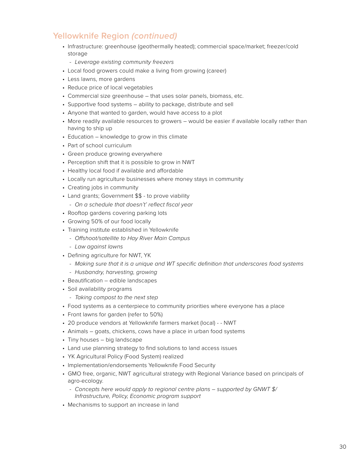- Infrastructure: greenhouse (geothermally heated); commercial space/market; freezer/cold storage
	- *- Leverage existing community freezers*
- Local food growers could make a living from growing (career)
- Less lawns, more gardens
- Reduce price of local vegetables
- Commercial size greenhouse that uses solar panels, biomass, etc.
- Supportive food systems ability to package, distribute and sell
- Anyone that wanted to garden, would have access to a plot
- More readily available resources to growers would be easier if available locally rather than having to ship up
- Education knowledge to grow in this climate
- Part of school curriculum
- Green produce growing everywhere
- Perception shift that it is possible to grow in NWT
- Healthy local food if available and affordable
- Locally run agriculture businesses where money stays in community
- Creating jobs in community
- Land grants; Government \$\$ to prove viability
	- *- On a schedule that doesn't' reflect fiscal year*
- Rooftop gardens covering parking lots
- Growing 50% of our food locally
- Training institute established in Yellowknife
	- *- Offshoot/satellite to Hay River Main Campus*
	- *- Law against lawns*
- Defining agriculture for NWT, YK
	- *- Making sure that it is a unique and WT specific definition that underscores food systems*
- *- Husbandry, harvesting, growing*
- Beautification edible landscapes
- Soil availability programs
	- *- Taking compost to the next step*
- Food systems as a centerpiece to community priorities where everyone has a place
- Front lawns for garden (refer to 50%)
- 20 produce vendors at Yellowknife farmers market (local) - NWT
- Animals goats, chickens, cows have a place in urban food systems
- Tiny houses big landscape
- Land use planning strategy to find solutions to land access issues
- YK Agricultural Policy (Food System) realized
- Implementation/endorsements Yellowknife Food Security
- GMO free, organic, NWT agricultural strategy with Regional Variance based on principals of agro-ecology.
	- *- Concepts here would apply to regional centre plans supported by GNWT \$/ Infrastructure, Policy, Economic program support*
- Mechanisms to support an increase in land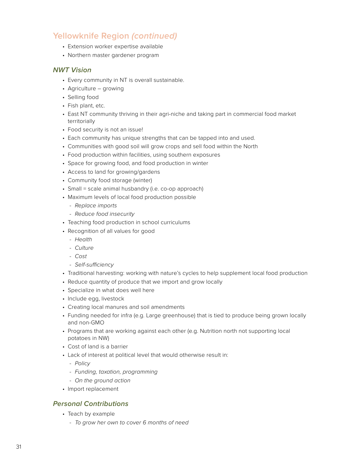- Extension worker expertise available
- Northern master gardener program

#### *NWT Vision*

- Every community in NT is overall sustainable.
- Agriculture growing
- Selling food
- Fish plant, etc.
- East NT community thriving in their agri-niche and taking part in commercial food market territorially
- Food security is not an issue!
- Each community has unique strengths that can be tapped into and used.
- Communities with good soil will grow crops and sell food within the North
- Food production within facilities, using southern exposures
- Space for growing food, and food production in winter
- Access to land for growing/gardens
- Community food storage (winter)
- Small = scale animal husbandry (i.e. co-op approach)
- Maximum levels of local food production possible
	- *- Replace imports*
	- *- Reduce food insecurity*
- Teaching food production in school curriculums
- Recognition of all values for good
	- *- Health*
	- *- Culture*
	- *- Cost*
	- *- Self-sufficiency*
- Traditional harvesting: working with nature's cycles to help supplement local food production
- Reduce quantity of produce that we import and grow locally
- Specialize in what does well here
- Include egg, livestock
- Creating local manures and soil amendments
- Funding needed for infra (e.g. Large greenhouse) that is tied to produce being grown locally and non-GMO
- Programs that are working against each other (e.g. Nutrition north not supporting local potatoes in NW)
- Cost of land is a barrier
- Lack of interest at political level that would otherwise result in:
	- *- Policy*
	- *- Funding, taxation, programming*
	- *- On the ground action*
- Import replacement

## *Personal Contributions*

- Teach by example
	- *- To grow her own to cover 6 months of need*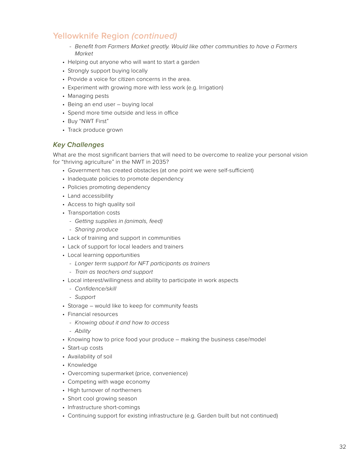- *- Benefit from Farmers Market greatly. Would like other communities to have a Farmers Market*
- Helping out anyone who will want to start a garden
- Strongly support buying locally
- Provide a voice for citizen concerns in the area.
- Experiment with growing more with less work (e.g. Irrigation)
- Managing pests
- Being an end user buying local
- Spend more time outside and less in office
- Buy "NWT First"
- Track produce grown

## *Key Challenges*

What are the most significant barriers that will need to be overcome to realize your personal vision for "thriving agriculture" in the NWT in 2035?

- Government has created obstacles (at one point we were self-sufficient)
- Inadequate policies to promote dependency
- Policies promoting dependency
- Land accessibility
- Access to high quality soil
- Transportation costs
	- *- Getting supplies in (animals, feed)*
	- *- Sharing produce*
- Lack of training and support in communities
- Lack of support for local leaders and trainers
- Local learning opportunities
	- *- Longer term support for NFT participants as trainers*
	- *- Train as teachers and support*
- Local interest/willingness and ability to participate in work aspects
	- *- Confidence/skill*
	- *- Support*
- Storage would like to keep for community feasts
- Financial resources
	- *- Knowing about it and how to access*
- *- Ability*
- Knowing how to price food your produce making the business case/model
- Start-up costs
- Availability of soil
- Knowledge
- Overcoming supermarket (price, convenience)
- Competing with wage economy
- High turnover of northerners
- Short cool growing season
- Infrastructure short-comings
- Continuing support for existing infrastructure (e.g. Garden built but not continued)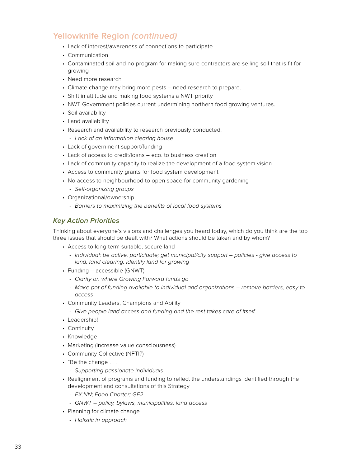- Lack of interest/awareness of connections to participate
- Communication
- Contaminated soil and no program for making sure contractors are selling soil that is fit for growing
- Need more research
- Climate change may bring more pests need research to prepare.
- Shift in attitude and making food systems a NWT priority
- NWT Government policies current undermining northern food growing ventures.
- Soil availability
- Land availability
- Research and availability to research previously conducted.
	- *- Lack of an information clearing house*
- Lack of government support/funding
- Lack of access to credit/loans eco. to business creation
- Lack of community capacity to realize the development of a food system vision
- Access to community grants for food system development
- No access to neighbourhood to open space for community gardening
	- *- Self-organizing groups*
- Organizational/ownership
	- *- Barriers to maximizing the benefits of local food systems*

## *Key Action Priorities*

Thinking about everyone's visions and challenges you heard today, which do you think are the top three issues that should be dealt with? What actions should be taken and by whom?

- Access to long-term suitable, secure land
	- *- Individual: be active, participate; get municipal/city support policies give access to land, land clearing, identify land for growing*
- Funding accessible (GNWT)
	- *- Clarity on where Growing Forward funds go*
	- *- Make pot of funding available to individual and organizations remove barriers, easy to access*
- Community Leaders, Champions and Ability
	- *- Give people land access and funding and the rest takes care of itself.*
- Leadership!
- Continuity
- Knowledge
- Marketing (increase value consciousness)
- Community Collective (NFTI?)
- "Be the change . . .
	- *- Supporting passionate individuals*
- Realignment of programs and funding to reflect the understandings identified through the development and consultations of this Strategy
	- *- EX:NN; Food Charter; GF2*
	- *- GNWT policy, bylaws, municipalities, land access*
- Planning for climate change
	- *- Holistic in approach*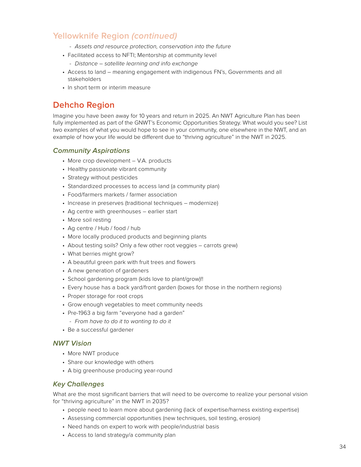- *- Assets and resource protection, conservation into the future*
- Facilitated access to NFTI; Mentorship at community level
	- *- Distance satellite learning and info exchange*
- Access to land meaning engagement with indigenous FN's, Governments and all stakeholders
- In short term or interim measure

# **Dehcho Region**

Imagine you have been away for 10 years and return in 2025. An NWT Agriculture Plan has been fully implemented as part of the GNWT's Economic Opportunities Strategy. What would you see? List two examples of what you would hope to see in your community, one elsewhere in the NWT, and an example of how your life would be different due to "thriving agriculture" in the NWT in 2025.

## *Community Aspirations*

- More crop development V.A. products
- Healthy passionate vibrant community
- Strategy without pesticides
- Standardized processes to access land (a community plan)
- Food/farmers markets / farmer association
- Increase in preserves (traditional techniques modernize)
- Ag centre with greenhouses earlier start
- More soil resting
- Ag centre / Hub / food / hub
- More locally produced products and beginning plants
- About testing soils? Only a few other root veggies carrots grew)
- What berries might grow?
- A beautiful green park with fruit trees and flowers
- A new generation of gardeners
- School gardening program (kids love to plant/grow)!!
- Every house has a back yard/front garden (boxes for those in the northern regions)
- Proper storage for root crops
- Grow enough vegetables to meet community needs
- Pre-1963 a big farm "everyone had a garden"
	- *- From have to do it to wanting to do it*
- Be a successful gardener

## *NWT Vision*

- More NWT produce
- Share our knowledge with others
- A big greenhouse producing year-round

## *Key Challenges*

What are the most significant barriers that will need to be overcome to realize your personal vision for "thriving agriculture" in the NWT in 2035?

- people need to learn more about gardening (lack of expertise/harness existing expertise)
- Assessing commercial opportunities (new techniques, soil testing, erosion)
- Need hands on expert to work with people/industrial basis
- Access to land strategy/a community plan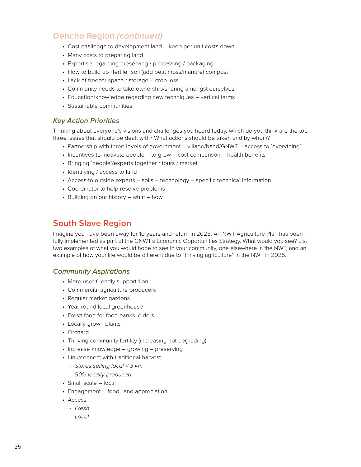# **Dehcho Region** *(continued)*

- Cost challenge to development land keep per unit costs down
- Many costs to preparing land
- Expertise regarding preserving / processing / packaging
- How to build up "fertile" soil (add peat moss/manure) compost
- Lack of freezer space / storage crop loss
- Community needs to take ownership/sharing amongst ourselves
- Education/knowledge regarding new techniques vertical farms
- Sustainable communities

## *Key Action Priorities*

Thinking about everyone's visions and challenges you heard today, which do you think are the top three issues that should be dealt with? What actions should be taken and by whom?

- Partnership with three levels of government village/band/GNWT access to 'everything'
- Incentives to motivate people to grow cost comparison health benefits
- Bringing 'people'/experts together / tours / market
- Identifying / access to land
- Access to outside experts soils technology specific technical information
- Coordinator to help resolve problems
- Building on our history what how

# **South Slave Region**

Imagine you have been away for 10 years and return in 2025. An NWT Agriculture Plan has been fully implemented as part of the GNWT's Economic Opportunities Strategy. What would you see? List two examples of what you would hope to see in your community, one elsewhere in the NWT, and an example of how your life would be different due to "thriving agriculture" in the NWT in 2025.

## *Community Aspirations*

- More user-friendly support 1 on 1
- Commercial agriculture producers
- Regular market gardens
- Year-round local greenhouse
- Fresh food for food banks, elders
- Locally grown plants
- Orchard
- Thriving community fertility (increasing not degrading)
- Increase knowledge growing preserving
- Link/connect with traditional harvest
	- *- Stores selling local < 3 km*
	- *- 90% locally produced*
- Small scale local
- Engagement food, land appreciation
- Access
	- *- Fresh*
	- *- Local*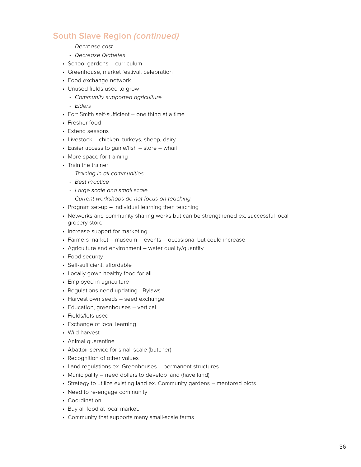# **South Slave Region** *(continued)*

- *- Decrease cost*
- *- Decrease Diabetes*
- School gardens curriculum
- Greenhouse, market festival, celebration
- Food exchange network
- Unused fields used to grow
	- *- Community supported agriculture*
	- *- Elders*
- Fort Smith self-sufficient one thing at a time
- Fresher food
- Extend seasons
- Livestock chicken, turkeys, sheep, dairy
- Easier access to game/fish store wharf
- More space for training
- Train the trainer
	- *- Training in all communities*
	- *- Best Practice*
	- *- Large scale and small scale*
	- *- Current workshops do not focus on teaching*
- Program set-up individual learning then teaching
- Networks and community sharing works but can be strengthened ex. successful local grocery store
- Increase support for marketing
- Farmers market museum events occasional but could increase
- Agriculture and environment water quality/quantity
- Food security
- Self-sufficient, affordable
- Locally gown healthy food for all
- Employed in agriculture
- Regulations need updating Bylaws
- Harvest own seeds seed exchange
- Education, greenhouses vertical
- Fields/lots used
- Exchange of local learning
- Wild harvest
- Animal quarantine
- Abattoir service for small scale (butcher)
- Recognition of other values
- Land regulations ex. Greenhouses permanent structures
- Municipality need dollars to develop land (have land)
- Strategy to utilize existing land ex. Community gardens mentored plots
- Need to re-engage community
- Coordination
- Buy all food at local market.
- Community that supports many small-scale farms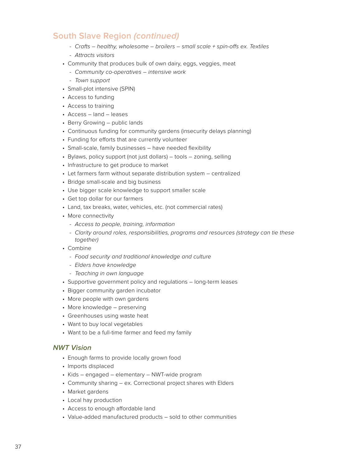# **South Slave Region** *(continued)*

- *- Crafts healthy, wholesome broilers small scale + spin-offs ex. Textiles*
- *- Attracts visitors*
- Community that produces bulk of own dairy, eggs, veggies, meat
	- *- Community co-operatives intensive work*
	- *- Town support*
- Small-plot intensive (SPIN)
- Access to funding
- Access to training
- Access land leases
- Berry Growing public lands
- Continuous funding for community gardens (insecurity delays planning)
- Funding for efforts that are currently volunteer
- Small-scale, family businesses have needed flexibility
- Bylaws, policy support (not just dollars) tools zoning, selling
- Infrastructure to get produce to market
- Let farmers farm without separate distribution system centralized
- Bridge small-scale and big business
- Use bigger scale knowledge to support smaller scale
- Get top dollar for our farmers
- Land, tax breaks, water, vehicles, etc. (not commercial rates)
- More connectivity
	- *- Access to people, training, information*
	- *- Clarity around roles, responsibilities, programs and resources (strategy can tie these together)*
- Combine
	- *- Food security and traditional knowledge and culture*
	- *- Elders have knowledge*
	- *- Teaching in own language*
- Supportive government policy and regulations long-term leases
- Bigger community garden incubator
- More people with own gardens
- More knowledge preserving
- Greenhouses using waste heat
- Want to buy local vegetables
- Want to be a full-time farmer and feed my family

## *NWT Vision*

- Enough farms to provide locally grown food
- Imports displaced
- Kids engaged elementary NWT-wide program
- Community sharing ex. Correctional project shares with Elders
- Market gardens
- Local hay production
- Access to enough affordable land
- Value-added manufactured products sold to other communities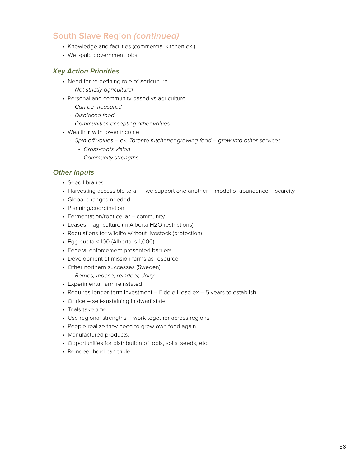# **South Slave Region** *(continued)*

- Knowledge and facilities (commercial kitchen ex.)
- Well-paid government jobs

## *Key Action Priorities*

- Need for re-defining role of agriculture
	- *- Not strictly agricultural*
- Personal and community based vs agriculture
	- *- Can be measured*
	- *- Displaced food*
	- *- Communities accepting other values*
- Wealth ↑ with lower income
	- *- Spin-off values ex. Toronto Kitchener growing food grew into other services*
		- *- Grass-roots vision*
		- *- Community strengths*

## *Other Inputs*

- Seed libraries
- Harvesting accessible to all we support one another model of abundance scarcity
- Global changes needed
- Planning/coordination
- Fermentation/root cellar community
- Leases agriculture (in Alberta H2O restrictions)
- Regulations for wildlife without livestock (protection)
- Egg quota < 100 (Alberta is 1,000)
- Federal enforcement presented barriers
- Development of mission farms as resource
- Other northern successes (Sweden)
	- *- Berries, moose, reindeer, dairy*
- Experimental farm reinstated
- Requires longer-term investment Fiddle Head ex 5 years to establish
- Or rice self-sustaining in dwarf state
- Trials take time
- Use regional strengths work together across regions
- People realize they need to grow own food again.
- Manufactured products.
- Opportunities for distribution of tools, soils, seeds, etc.
- Reindeer herd can triple.